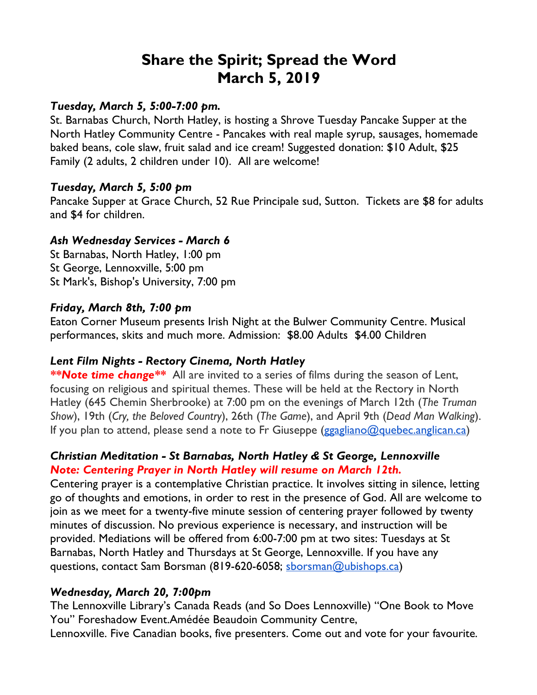# **Share the Spirit; Spread the Word March 5, 2019**

#### *Tuesday, March 5, 5:00-7:00 pm.*

St. Barnabas Church, North Hatley, is hosting a Shrove Tuesday Pancake Supper at the North Hatley Community Centre - Pancakes with real maple syrup, sausages, homemade baked beans, cole slaw, fruit salad and ice cream! Suggested donation: \$10 Adult, \$25 Family (2 adults, 2 children under 10). All are welcome!

### *Tuesday, March 5, 5:00 pm*

Pancake Supper at Grace Church, 52 Rue Principale sud, Sutton. Tickets are \$8 for adults and \$4 for children.

## *Ash Wednesday Services - March 6*

St Barnabas, North Hatley, 1:00 pm St George, Lennoxville, 5:00 pm St Mark's, Bishop's University, 7:00 pm

### *Friday, March 8th, 7:00 pm*

Eaton Corner Museum presents Irish Night at the Bulwer Community Centre. Musical performances, skits and much more. Admission: \$8.00 Adults \$4.00 Children

## *Lent Film Nights - Rectory Cinema, North Hatley*

*\*\*Note time change\*\** All are invited to a series of films during the season of Lent, focusing on religious and spiritual themes. These will be held at the Rectory in North Hatley (645 Chemin Sherbrooke) at 7:00 pm on the evenings of March 12th (*The Truman Show*), 19th (*Cry, the Beloved Country*), 26th (*The Game*), and April 9th (*Dead Man Walking*). If you plan to attend, please send a note to Fr Giuseppe (ggagliano@quebec.anglican.ca)

## *Christian Meditation - St Barnabas, North Hatley & St George, Lennoxville Note: Centering Prayer in North Hatley will resume on March 12th.*

Centering prayer is a contemplative Christian practice. It involves sitting in silence, letting go of thoughts and emotions, in order to rest in the presence of God. All are welcome to join as we meet for a twenty-five minute session of centering prayer followed by twenty minutes of discussion. No previous experience is necessary, and instruction will be provided. Mediations will be offered from 6:00-7:00 pm at two sites: Tuesdays at St Barnabas, North Hatley and Thursdays at St George, Lennoxville. If you have any questions, contact Sam Borsman (819-620-6058; sborsman@ubishops.ca)

## *Wednesday, March 20, 7:00pm*

The Lennoxville Library's Canada Reads (and So Does Lennoxville) "One Book to Move You" Foreshadow Event.Amédée Beaudoin Community Centre,

Lennoxville. Five Canadian books, five presenters. Come out and vote for your favourite.